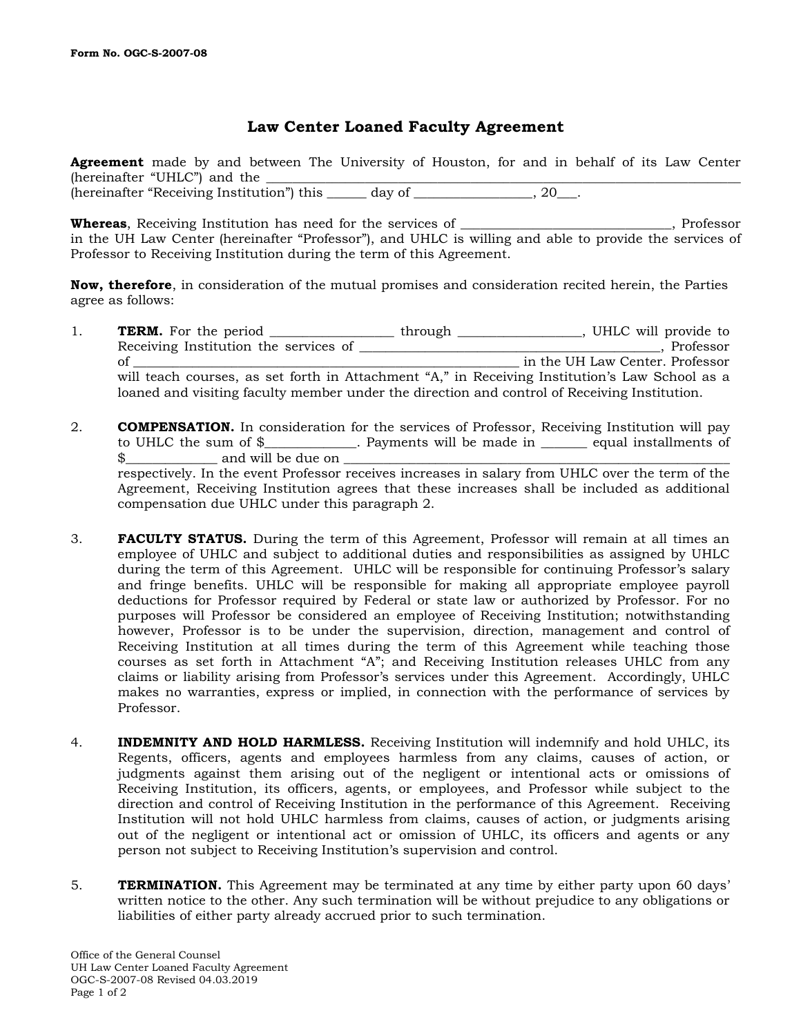## **Law Center Loaned Faculty Agreement**

**Agreement** made by and between The University of Houston, for and in behalf of its Law Center (hereinafter "UHLC") and the (hereinafter "Receiving Institution") this day of 30 quality 3.20 quality of the contract of  $(20 \text{ m/s})^2$ .

**Whereas**, Receiving Institution has need for the services of \_\_\_\_\_\_\_\_\_\_\_\_\_\_\_\_\_\_\_\_\_\_\_\_\_\_\_\_\_\_\_\_, Professor in the UH Law Center (hereinafter "Professor"), and UHLC is willing and able to provide the services of Professor to Receiving Institution during the term of this Agreement.

**Now, therefore**, in consideration of the mutual promises and consideration recited herein, the Parties agree as follows:

- 1. **TERM.** For the period \_\_\_\_\_\_\_\_\_\_\_\_\_\_\_\_\_\_\_\_through \_\_\_\_\_\_\_\_\_\_\_\_\_\_\_\_\_, UHLC will provide to Receiving Institution the services of \_\_\_\_\_\_\_\_\_\_\_\_\_\_\_\_\_\_\_\_\_\_\_\_\_\_\_\_\_\_\_\_\_\_\_\_\_\_\_\_\_\_\_\_\_\_, Professor of the UH Law Center. Professor will teach courses, as set forth in Attachment "A," in Receiving Institution's Law School as a loaned and visiting faculty member under the direction and control of Receiving Institution.
- 2. **COMPENSATION.** In consideration for the services of Professor, Receiving Institution will pay to UHLC the sum of \$\_\_\_\_\_\_\_\_\_\_\_\_\_\_. Payments will be made in \_\_\_\_\_\_\_ equal installments of  $\frac{16}{100}$  and will be due on  $\frac{1}{100}$

respectively. In the event Professor receives increases in salary from UHLC over the term of the Agreement, Receiving Institution agrees that these increases shall be included as additional compensation due UHLC under this paragraph 2.

- 3. **FACULTY STATUS.** During the term of this Agreement, Professor will remain at all times an employee of UHLC and subject to additional duties and responsibilities as assigned by UHLC during the term of this Agreement. UHLC will be responsible for continuing Professor's salary and fringe benefits. UHLC will be responsible for making all appropriate employee payroll deductions for Professor required by Federal or state law or authorized by Professor. For no purposes will Professor be considered an employee of Receiving Institution; notwithstanding however, Professor is to be under the supervision, direction, management and control of Receiving Institution at all times during the term of this Agreement while teaching those courses as set forth in Attachment "A"; and Receiving Institution releases UHLC from any claims or liability arising from Professor's services under this Agreement. Accordingly, UHLC makes no warranties, express or implied, in connection with the performance of services by Professor.
- 4. **INDEMNITY AND HOLD HARMLESS.** Receiving Institution will indemnify and hold UHLC, its Regents, officers, agents and employees harmless from any claims, causes of action, or judgments against them arising out of the negligent or intentional acts or omissions of Receiving Institution, its officers, agents, or employees, and Professor while subject to the direction and control of Receiving Institution in the performance of this Agreement. Receiving Institution will not hold UHLC harmless from claims, causes of action, or judgments arising out of the negligent or intentional act or omission of UHLC, its officers and agents or any person not subject to Receiving Institution's supervision and control.
- 5. **TERMINATION.** This Agreement may be terminated at any time by either party upon 60 days' written notice to the other. Any such termination will be without prejudice to any obligations or liabilities of either party already accrued prior to such termination.